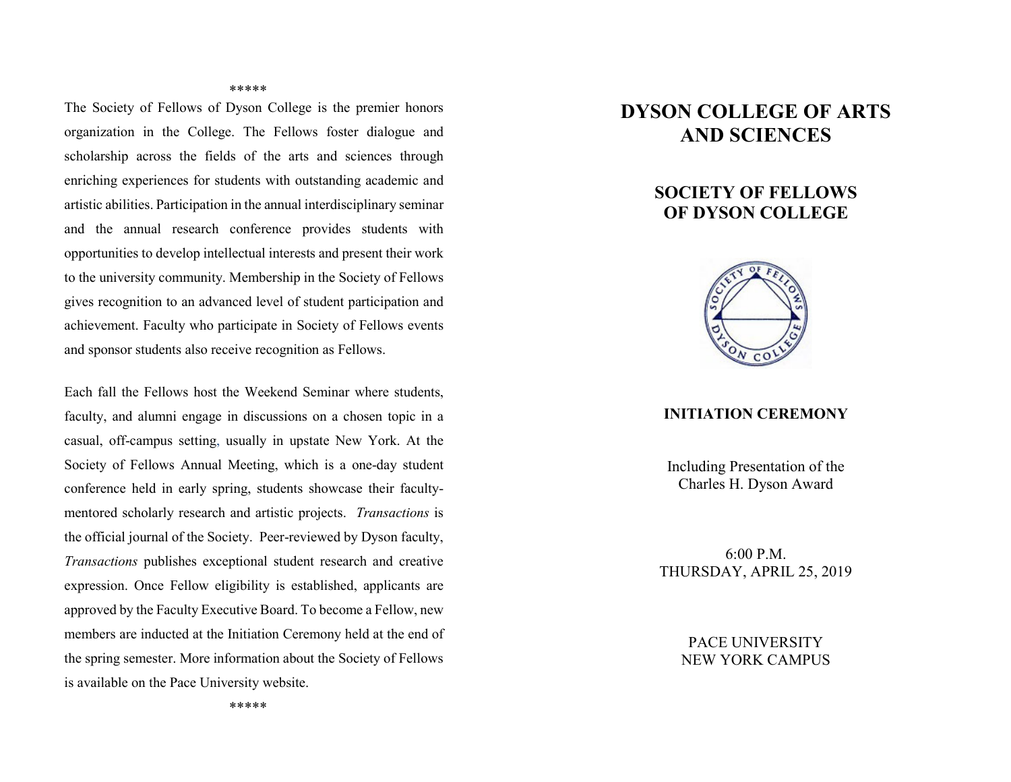#### \*\*\*\*\*

The Society of Fellows of Dyson College is the premier honors organization in the College. The Fellows foster dialogue and scholarship across the fields of the arts and sciences through enriching experiences for students with outstanding academic and artistic abilities. Participation in the annual interdisciplinary seminar and the annual research conference provides students with opportunities to develop intellectual interests and present their work to the university community. Membership in the Society of Fellows gives recognition to an advanced level of student participation and achievement. Faculty who participate in Society of Fellows events and sponsor students also receive recognition as Fellows.

Each fall the Fellows host the Weekend Seminar where students, faculty, and alumni engage in discussions on a chosen topic in a casual, off-campus setting, usually in upstate New York. At the Society of Fellows Annual Meeting, which is a one-day student conference held in early spring, students showcase their facultymentored scholarly research and artistic projects. *Transactions* is the official journal of the Society. Peer-reviewed by Dyson faculty, *Transactions* publishes exceptional student research and creative expression. Once Fellow eligibility is established, applicants are approved by the Faculty Executive Board. To become a Fellow, new members are inducted at the Initiation Ceremony held at the end of the spring semester. More information about the Society of Fellows is available on the Pace University website.

# **DYSON COLLEGE OF ARTS AND SCIENCES**

## **SOCIETY OF FELLOWS OF DYSON COLLEGE**



#### **INITIATION CEREMONY**

Including Presentation of the Charles H. Dyson Award

6:00 P.M. THURSDAY, APRIL 25, 2019

> PACE UNIVERSITY NEW YORK CAMPUS